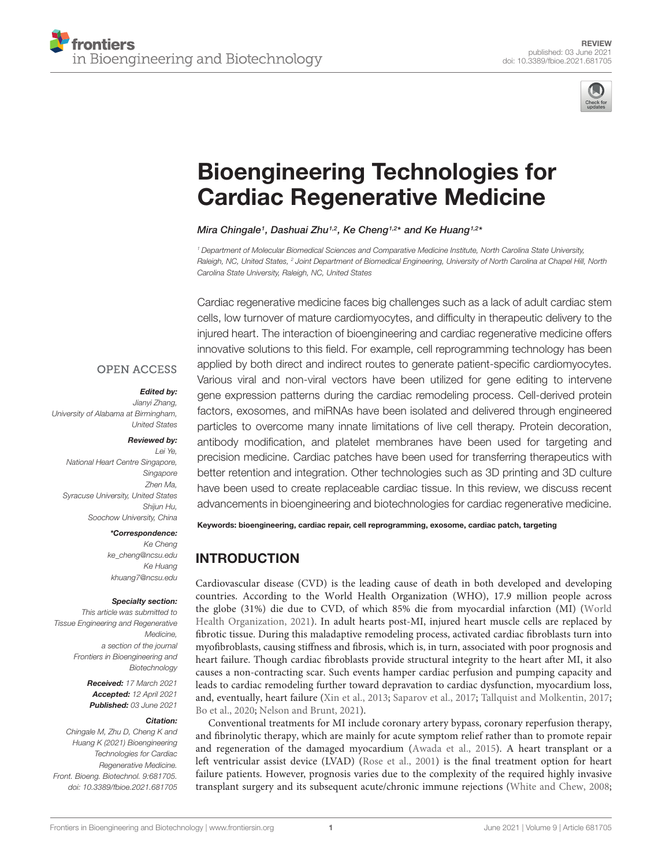

# [Bioengineering Technologies for](https://www.frontiersin.org/articles/10.3389/fbioe.2021.681705/full) Cardiac Regenerative Medicine

Mira Chingale1, Dashuai Zhu1,2, Ke Cheng1,2\* and Ke Huang1,2\*

<sup>1</sup> Department of Molecular Biomedical Sciences and Comparative Medicine Institute, North Carolina State University, Raleigh, NC, United States, <sup>2</sup> Joint Department of Biomedical Engineering, University of North Carolina at Chapel Hill, North Carolina State University, Raleigh, NC, United States

Cardiac regenerative medicine faces big challenges such as a lack of adult cardiac stem cells, low turnover of mature cardiomyocytes, and difficulty in therapeutic delivery to the injured heart. The interaction of bioengineering and cardiac regenerative medicine offers innovative solutions to this field. For example, cell reprogramming technology has been applied by both direct and indirect routes to generate patient-specific cardiomyocytes. Various viral and non-viral vectors have been utilized for gene editing to intervene gene expression patterns during the cardiac remodeling process. Cell-derived protein factors, exosomes, and miRNAs have been isolated and delivered through engineered particles to overcome many innate limitations of live cell therapy. Protein decoration, antibody modification, and platelet membranes have been used for targeting and precision medicine. Cardiac patches have been used for transferring therapeutics with better retention and integration. Other technologies such as 3D printing and 3D culture have been used to create replaceable cardiac tissue. In this review, we discuss recent advancements in bioengineering and biotechnologies for cardiac regenerative medicine.

#### **OPEN ACCESS**

#### Edited by:

Jianyi Zhang, University of Alabama at Birmingham, United States

#### Reviewed by:

Lei Ye, National Heart Centre Singapore, Singapore Zhen Ma, Syracuse University, United States Shiiun Hu, Soochow University, China

#### \*Correspondence:

Ke Cheng ke\_cheng@ncsu.edu Ke Huang khuang7@ncsu.edu

#### Specialty section:

This article was submitted to Tissue Engineering and Regenerative Medicine, a section of the journal Frontiers in Bioengineering and Biotechnology

> Received: 17 March 2021 Accepted: 12 April 2021 Published: 03 June 2021

#### Citation:

Chingale M, Zhu D, Cheng K and Huang K (2021) Bioengineering Technologies for Cardiac Regenerative Medicine. Front. Bioeng. Biotechnol. 9:681705. doi: [10.3389/fbioe.2021.681705](https://doi.org/10.3389/fbioe.2021.681705) Keywords: bioengineering, cardiac repair, cell reprogramming, exosome, cardiac patch, targeting

# INTRODUCTION

Cardiovascular disease (CVD) is the leading cause of death in both developed and developing countries. According to the World Health Organization (WHO), 17.9 million people across the globe (31%) die due to CVD, of which 85% die from myocardial infarction (MI) [\(World](#page-10-0) [Health Organization,](#page-10-0) [2021\)](#page-10-0). In adult hearts post-MI, injured heart muscle cells are replaced by fibrotic tissue. During this maladaptive remodeling process, activated cardiac fibroblasts turn into myofibroblasts, causing stiffness and fibrosis, which is, in turn, associated with poor prognosis and heart failure. Though cardiac fibroblasts provide structural integrity to the heart after MI, it also causes a non-contracting scar. Such events hamper cardiac perfusion and pumping capacity and leads to cardiac remodeling further toward depravation to cardiac dysfunction, myocardium loss, and, eventually, heart failure [\(Xin et al.,](#page-10-1) [2013;](#page-10-1) [Saparov et al.,](#page-9-0) [2017;](#page-9-0) [Tallquist and Molkentin,](#page-10-2) [2017;](#page-10-2) [Bo et al.,](#page-7-0) [2020;](#page-7-0) [Nelson and Brunt,](#page-9-1) [2021\)](#page-9-1).

Conventional treatments for MI include coronary artery bypass, coronary reperfusion therapy, and fibrinolytic therapy, which are mainly for acute symptom relief rather than to promote repair and regeneration of the damaged myocardium [\(Awada et al.,](#page-7-1) [2015\)](#page-7-1). A heart transplant or a left ventricular assist device (LVAD) [\(Rose et al.,](#page-9-2) [2001\)](#page-9-2) is the final treatment option for heart failure patients. However, prognosis varies due to the complexity of the required highly invasive transplant surgery and its subsequent acute/chronic immune rejections [\(White and Chew,](#page-10-3) [2008;](#page-10-3)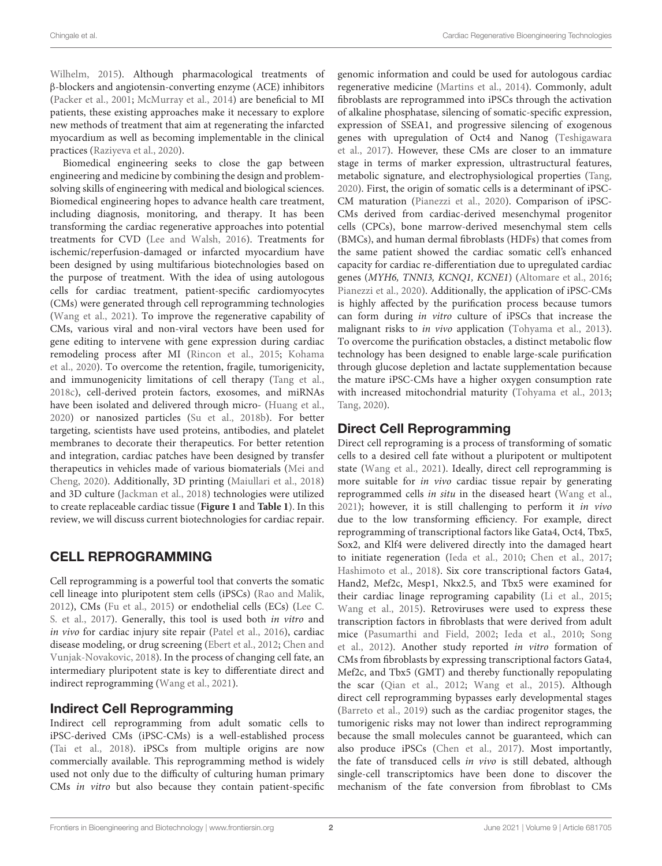[Wilhelm,](#page-10-4) [2015\)](#page-10-4). Although pharmacological treatments of β-blockers and angiotensin-converting enzyme (ACE) inhibitors [\(Packer et al.,](#page-9-3) [2001;](#page-9-3) [McMurray et al.,](#page-9-4) [2014\)](#page-9-4) are beneficial to MI patients, these existing approaches make it necessary to explore new methods of treatment that aim at regenerating the infarcted myocardium as well as becoming implementable in the clinical practices [\(Raziyeva et al.,](#page-9-5) [2020\)](#page-9-5).

Biomedical engineering seeks to close the gap between engineering and medicine by combining the design and problemsolving skills of engineering with medical and biological sciences. Biomedical engineering hopes to advance health care treatment, including diagnosis, monitoring, and therapy. It has been transforming the cardiac regenerative approaches into potential treatments for CVD [\(Lee and Walsh,](#page-8-0) [2016\)](#page-8-0). Treatments for ischemic/reperfusion-damaged or infarcted myocardium have been designed by using multifarious biotechnologies based on the purpose of treatment. With the idea of using autologous cells for cardiac treatment, patient-specific cardiomyocytes (CMs) were generated through cell reprogramming technologies [\(Wang et al.,](#page-10-5) [2021\)](#page-10-5). To improve the regenerative capability of CMs, various viral and non-viral vectors have been used for gene editing to intervene with gene expression during cardiac remodeling process after MI [\(Rincon et al.,](#page-9-6) [2015;](#page-9-6) [Kohama](#page-8-1) [et al.,](#page-8-1) [2020\)](#page-8-1). To overcome the retention, fragile, tumorigenicity, and immunogenicity limitations of cell therapy [\(Tang et al.,](#page-10-6) [2018c\)](#page-10-6), cell-derived protein factors, exosomes, and miRNAs have been isolated and delivered through micro- [\(Huang et al.,](#page-8-2) [2020\)](#page-8-2) or nanosized particles [\(Su et al.,](#page-10-7) [2018b\)](#page-10-7). For better targeting, scientists have used proteins, antibodies, and platelet membranes to decorate their therapeutics. For better retention and integration, cardiac patches have been designed by transfer therapeutics in vehicles made of various biomaterials [\(Mei and](#page-9-7) [Cheng,](#page-9-7) [2020\)](#page-9-7). Additionally, 3D printing [\(Maiullari et al.,](#page-9-8) [2018\)](#page-9-8) and 3D culture [\(Jackman et al.,](#page-8-3) [2018\)](#page-8-3) technologies were utilized to create replaceable cardiac tissue (**[Figure 1](#page-2-0)** and **[Table 1](#page-3-0)**). In this review, we will discuss current biotechnologies for cardiac repair.

# CELL REPROGRAMMING

Cell reprogramming is a powerful tool that converts the somatic cell lineage into pluripotent stem cells (iPSCs) [\(Rao and Malik,](#page-9-9) [2012\)](#page-9-9), CMs [\(Fu et al.,](#page-8-4) [2015\)](#page-8-4) or endothelial cells (ECs) [\(Lee C.](#page-8-5) [S. et al.,](#page-8-5) [2017\)](#page-8-5). Generally, this tool is used both in vitro and in vivo for cardiac injury site repair [\(Patel et al.,](#page-9-10) [2016\)](#page-9-10), cardiac disease modeling, or drug screening [\(Ebert et al.,](#page-7-2) [2012;](#page-7-2) [Chen and](#page-7-3) [Vunjak-Novakovic,](#page-7-3) [2018\)](#page-7-3). In the process of changing cell fate, an intermediary pluripotent state is key to differentiate direct and indirect reprogramming [\(Wang et al.,](#page-10-5) [2021\)](#page-10-5).

## Indirect Cell Reprogramming

Indirect cell reprogramming from adult somatic cells to iPSC-derived CMs (iPSC-CMs) is a well-established process [\(Tai et al.,](#page-10-8) [2018\)](#page-10-8). iPSCs from multiple origins are now commercially available. This reprogramming method is widely used not only due to the difficulty of culturing human primary CMs in vitro but also because they contain patient-specific genomic information and could be used for autologous cardiac regenerative medicine [\(Martins et al.,](#page-9-11) [2014\)](#page-9-11). Commonly, adult fibroblasts are reprogrammed into iPSCs through the activation of alkaline phosphatase, silencing of somatic-specific expression, expression of SSEA1, and progressive silencing of exogenous genes with upregulation of Oct4 and Nanog [\(Teshigawara](#page-10-9) [et al.,](#page-10-9) [2017\)](#page-10-9). However, these CMs are closer to an immature stage in terms of marker expression, ultrastructural features, metabolic signature, and electrophysiological properties [\(Tang,](#page-10-10) [2020\)](#page-10-10). First, the origin of somatic cells is a determinant of iPSC-CM maturation [\(Pianezzi et al.,](#page-9-12) [2020\)](#page-9-12). Comparison of iPSC-CMs derived from cardiac-derived mesenchymal progenitor cells (CPCs), bone marrow-derived mesenchymal stem cells (BMCs), and human dermal fibroblasts (HDFs) that comes from the same patient showed the cardiac somatic cell's enhanced capacity for cardiac re-differentiation due to upregulated cardiac genes (MYH6, TNNI3, KCNQ1, KCNE1) [\(Altomare et al.,](#page-7-4) [2016;](#page-7-4) [Pianezzi et al.,](#page-9-12) [2020\)](#page-9-12). Additionally, the application of iPSC-CMs is highly affected by the purification process because tumors can form during in vitro culture of iPSCs that increase the malignant risks to *in vivo* application [\(Tohyama et al.,](#page-10-11) [2013\)](#page-10-11). To overcome the purification obstacles, a distinct metabolic flow technology has been designed to enable large-scale purification through glucose depletion and lactate supplementation because the mature iPSC-CMs have a higher oxygen consumption rate with increased mitochondrial maturity [\(Tohyama et al.,](#page-10-11) [2013;](#page-10-11) [Tang,](#page-10-10) [2020\)](#page-10-10).

# Direct Cell Reprogramming

Direct cell reprograming is a process of transforming of somatic cells to a desired cell fate without a pluripotent or multipotent state [\(Wang et al.,](#page-10-5) [2021\)](#page-10-5). Ideally, direct cell reprogramming is more suitable for in vivo cardiac tissue repair by generating reprogrammed cells in situ in the diseased heart [\(Wang et al.,](#page-10-5) [2021\)](#page-10-5); however, it is still challenging to perform it in vivo due to the low transforming efficiency. For example, direct reprogramming of transcriptional factors like Gata4, Oct4, Tbx5, Sox2, and Klf4 were delivered directly into the damaged heart to initiate regeneration [\(Ieda et al.,](#page-8-6) [2010;](#page-8-6) [Chen et al.,](#page-7-5) [2017;](#page-7-5) [Hashimoto et al.,](#page-8-7) [2018\)](#page-8-7). Six core transcriptional factors Gata4, Hand2, Mef2c, Mesp1, Nkx2.5, and Tbx5 were examined for their cardiac linage reprograming capability [\(Li et al.,](#page-8-8) [2015;](#page-8-8) [Wang et al.,](#page-10-12) [2015\)](#page-10-12). Retroviruses were used to express these transcription factors in fibroblasts that were derived from adult mice [\(Pasumarthi and Field,](#page-9-13) [2002;](#page-9-13) [Ieda et al.,](#page-8-6) [2010;](#page-8-6) [Song](#page-9-14) [et al.,](#page-9-14) [2012\)](#page-9-14). Another study reported in vitro formation of CMs from fibroblasts by expressing transcriptional factors Gata4, Mef2c, and Tbx5 (GMT) and thereby functionally repopulating the scar [\(Qian et al.,](#page-9-15) [2012;](#page-9-15) [Wang et al.,](#page-10-12) [2015\)](#page-10-12). Although direct cell reprogramming bypasses early developmental stages [\(Barreto et al.,](#page-7-6) [2019\)](#page-7-6) such as the cardiac progenitor stages, the tumorigenic risks may not lower than indirect reprogramming because the small molecules cannot be guaranteed, which can also produce iPSCs [\(Chen et al.,](#page-7-5) [2017\)](#page-7-5). Most importantly, the fate of transduced cells in vivo is still debated, although single-cell transcriptomics have been done to discover the mechanism of the fate conversion from fibroblast to CMs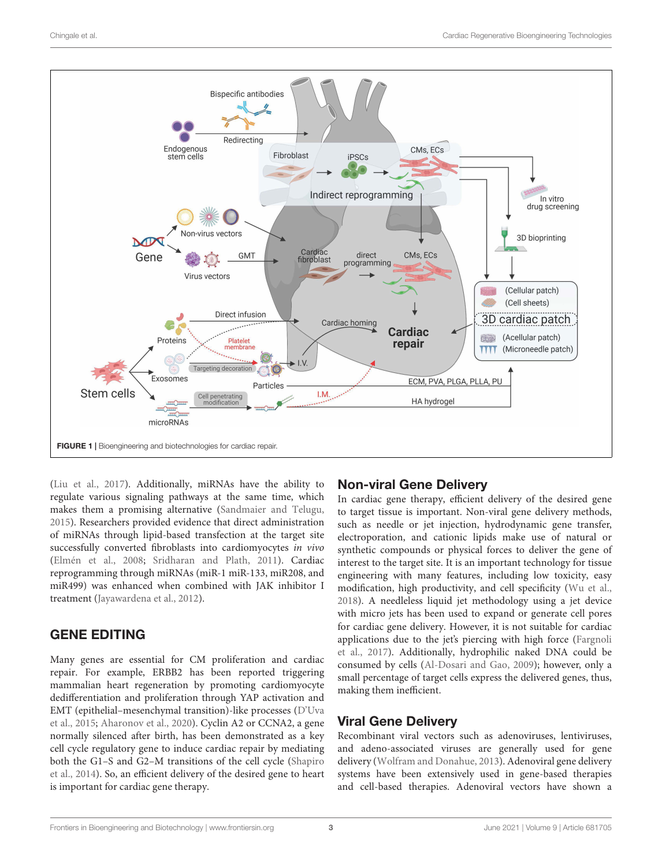

<span id="page-2-0"></span>[\(Liu et al.,](#page-9-16) [2017\)](#page-9-16). Additionally, miRNAs have the ability to regulate various signaling pathways at the same time, which makes them a promising alternative [\(Sandmaier and Telugu,](#page-9-17) [2015\)](#page-9-17). Researchers provided evidence that direct administration of miRNAs through lipid-based transfection at the target site successfully converted fibroblasts into cardiomyocytes in vivo [\(Elmén et al.,](#page-7-7) [2008;](#page-7-7) [Sridharan and Plath,](#page-10-13) [2011\)](#page-10-13). Cardiac reprogramming through miRNAs (miR-1 miR-133, miR208, and miR499) was enhanced when combined with JAK inhibitor I treatment [\(Jayawardena et al.,](#page-8-9) [2012\)](#page-8-9).

## GENE EDITING

Many genes are essential for CM proliferation and cardiac repair. For example, ERBB2 has been reported triggering mammalian heart regeneration by promoting cardiomyocyte dedifferentiation and proliferation through YAP activation and EMT (epithelial–mesenchymal transition)-like processes [\(D'Uva](#page-7-8) [et al.,](#page-7-8) [2015;](#page-7-8) [Aharonov et al.,](#page-7-9) [2020\)](#page-7-9). Cyclin A2 or CCNA2, a gene normally silenced after birth, has been demonstrated as a key cell cycle regulatory gene to induce cardiac repair by mediating both the G1–S and G2–M transitions of the cell cycle [\(Shapiro](#page-9-18) [et al.,](#page-9-18) [2014\)](#page-9-18). So, an efficient delivery of the desired gene to heart is important for cardiac gene therapy.

#### Non-viral Gene Delivery

In cardiac gene therapy, efficient delivery of the desired gene to target tissue is important. Non-viral gene delivery methods, such as needle or jet injection, hydrodynamic gene transfer, electroporation, and cationic lipids make use of natural or synthetic compounds or physical forces to deliver the gene of interest to the target site. It is an important technology for tissue engineering with many features, including low toxicity, easy modification, high productivity, and cell specificity [\(Wu et al.,](#page-10-14) [2018\)](#page-10-14). A needleless liquid jet methodology using a jet device with micro jets has been used to expand or generate cell pores for cardiac gene delivery. However, it is not suitable for cardiac applications due to the jet's piercing with high force [\(Fargnoli](#page-8-10) [et al.,](#page-8-10) [2017\)](#page-8-10). Additionally, hydrophilic naked DNA could be consumed by cells [\(Al-Dosari and Gao,](#page-7-10) [2009\)](#page-7-10); however, only a small percentage of target cells express the delivered genes, thus, making them inefficient.

## Viral Gene Delivery

Recombinant viral vectors such as adenoviruses, lentiviruses, and adeno-associated viruses are generally used for gene delivery [\(Wolfram and Donahue,](#page-10-15) [2013\)](#page-10-15). Adenoviral gene delivery systems have been extensively used in gene-based therapies and cell-based therapies. Adenoviral vectors have shown a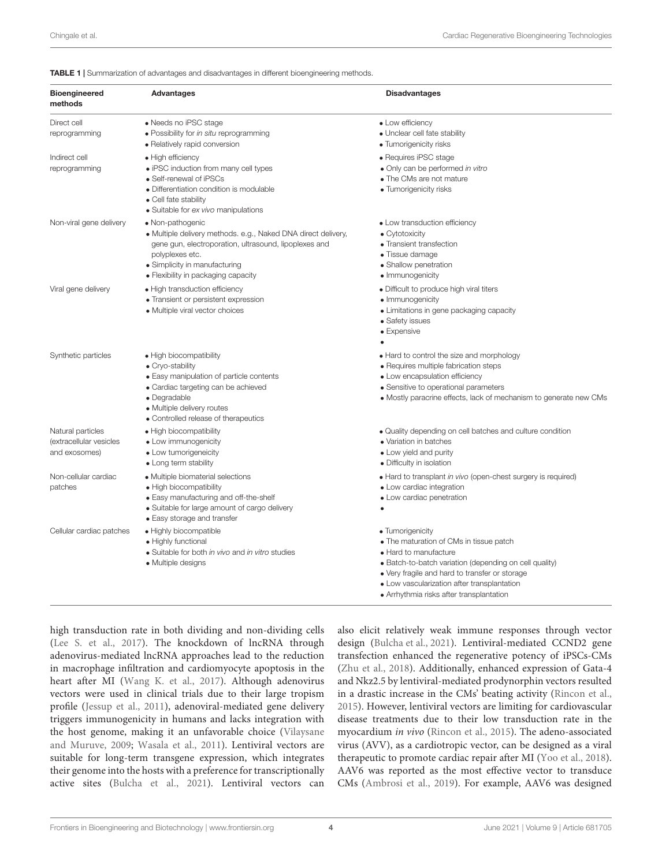<span id="page-3-0"></span>TABLE 1 | Summarization of advantages and disadvantages in different bioengineering methods.

| <b>Bioengineered</b><br>methods                               | <b>Advantages</b>                                                                                                                                                                                                                     | <b>Disadvantages</b>                                                                                                                                                                                                                                                                        |
|---------------------------------------------------------------|---------------------------------------------------------------------------------------------------------------------------------------------------------------------------------------------------------------------------------------|---------------------------------------------------------------------------------------------------------------------------------------------------------------------------------------------------------------------------------------------------------------------------------------------|
| Direct cell<br>reprogramming                                  | • Needs no iPSC stage<br>· Possibility for in situ reprogramming<br>• Relatively rapid conversion                                                                                                                                     | • Low efficiency<br>· Unclear cell fate stability<br>• Tumorigenicity risks                                                                                                                                                                                                                 |
| Indirect cell<br>reprogramming                                | • High efficiency<br>• iPSC induction from many cell types<br>• Self-renewal of iPSCs<br>• Differentiation condition is modulable<br>• Cell fate stability<br>• Suitable for ex vivo manipulations                                    | • Requires iPSC stage<br>• Only can be performed in vitro<br>• The CMs are not mature<br>• Tumorigenicity risks                                                                                                                                                                             |
| Non-viral gene delivery                                       | • Non-pathogenic<br>• Multiple delivery methods. e.g., Naked DNA direct delivery,<br>gene gun, electroporation, ultrasound, lipoplexes and<br>polyplexes etc.<br>• Simplicity in manufacturing<br>• Flexibility in packaging capacity | • Low transduction efficiency<br>• Cytotoxicity<br>• Transient transfection<br>• Tissue damage<br>• Shallow penetration<br>• Immunogenicity                                                                                                                                                 |
| Viral gene delivery                                           | • High transduction efficiency<br>• Transient or persistent expression<br>• Multiple viral vector choices                                                                                                                             | • Difficult to produce high viral titers<br>• Immunogenicity<br>• Limitations in gene packaging capacity<br>• Safety issues<br>• Expensive                                                                                                                                                  |
| Synthetic particles                                           | • High biocompatibility<br>• Cryo-stability<br>• Easy manipulation of particle contents<br>• Cardiac targeting can be achieved<br>· Degradable<br>• Multiple delivery routes<br>• Controlled release of therapeutics                  | • Hard to control the size and morphology<br>• Requires multiple fabrication steps<br>• Low encapsulation efficiency<br>• Sensitive to operational parameters<br>• Mostly paracrine effects, lack of mechanism to generate new CMs                                                          |
| Natural particles<br>(extracellular vesicles<br>and exosomes) | • High biocompatibility<br>• Low immunogenicity<br>• Low tumorigeneicity<br>• Long term stability                                                                                                                                     | • Quality depending on cell batches and culture condition<br>• Variation in batches<br>• Low yield and purity<br>• Difficulty in isolation                                                                                                                                                  |
| Non-cellular cardiac<br>patches                               | • Multiple biomaterial selections<br>• High biocompatibility<br>• Easy manufacturing and off-the-shelf<br>• Suitable for large amount of cargo delivery<br>• Easy storage and transfer                                                | • Hard to transplant in vivo (open-chest surgery is required)<br>• Low cardiac integration<br>• Low cardiac penetration                                                                                                                                                                     |
| Cellular cardiac patches                                      | • Highly biocompatible<br>• Highly functional<br>• Suitable for both in vivo and in vitro studies<br>• Multiple designs                                                                                                               | • Tumorigenicity<br>• The maturation of CMs in tissue patch<br>• Hard to manufacture<br>• Batch-to-batch variation (depending on cell quality)<br>• Very fragile and hard to transfer or storage<br>• Low vascularization after transplantation<br>• Arrhythmia risks after transplantation |

high transduction rate in both dividing and non-dividing cells [\(Lee S. et al.,](#page-8-11) [2017\)](#page-8-11). The knockdown of lncRNA through adenovirus-mediated lncRNA approaches lead to the reduction in macrophage infiltration and cardiomyocyte apoptosis in the heart after MI [\(Wang K. et al.,](#page-10-16) [2017\)](#page-10-16). Although adenovirus vectors were used in clinical trials due to their large tropism profile [\(Jessup et al.,](#page-8-12) [2011\)](#page-8-12), adenoviral-mediated gene delivery triggers immunogenicity in humans and lacks integration with the host genome, making it an unfavorable choice [\(Vilaysane](#page-10-17) [and Muruve,](#page-10-17) [2009;](#page-10-17) [Wasala et al.,](#page-10-18) [2011\)](#page-10-18). Lentiviral vectors are suitable for long-term transgene expression, which integrates their genome into the hosts with a preference for transcriptionally active sites [\(Bulcha et al.,](#page-7-11) [2021\)](#page-7-11). Lentiviral vectors can

also elicit relatively weak immune responses through vector design [\(Bulcha et al.,](#page-7-11) [2021\)](#page-7-11). Lentiviral-mediated CCND2 gene transfection enhanced the regenerative potency of iPSCs-CMs [\(Zhu et al.,](#page-10-19) [2018\)](#page-10-19). Additionally, enhanced expression of Gata-4 and Nkz2.5 by lentiviral-mediated prodynorphin vectors resulted in a drastic increase in the CMs' beating activity [\(Rincon et al.,](#page-9-6) [2015\)](#page-9-6). However, lentiviral vectors are limiting for cardiovascular disease treatments due to their low transduction rate in the myocardium in vivo [\(Rincon et al.,](#page-9-6) [2015\)](#page-9-6). The adeno-associated virus (AVV), as a cardiotropic vector, can be designed as a viral therapeutic to promote cardiac repair after MI [\(Yoo et al.,](#page-10-20) [2018\)](#page-10-20). AAV6 was reported as the most effective vector to transduce CMs [\(Ambrosi et al.,](#page-7-12) [2019\)](#page-7-12). For example, AAV6 was designed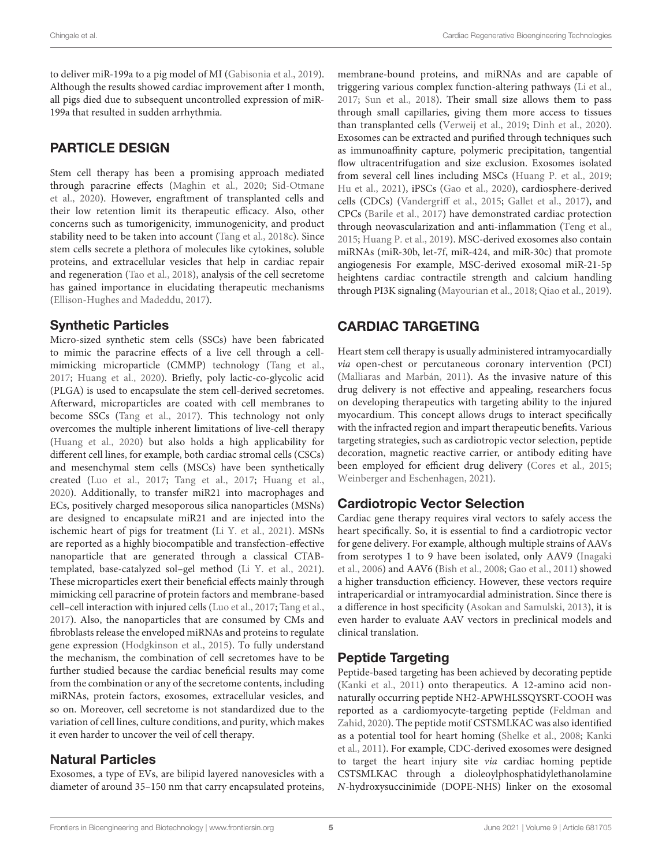to deliver miR-199a to a pig model of MI [\(Gabisonia et al.,](#page-8-13) [2019\)](#page-8-13). Although the results showed cardiac improvement after 1 month, all pigs died due to subsequent uncontrolled expression of miR-199a that resulted in sudden arrhythmia.

# PARTICLE DESIGN

Stem cell therapy has been a promising approach mediated through paracrine effects [\(Maghin et al.,](#page-9-19) [2020;](#page-9-19) [Sid-Otmane](#page-9-20) [et al.,](#page-9-20) [2020\)](#page-9-20). However, engraftment of transplanted cells and their low retention limit its therapeutic efficacy. Also, other concerns such as tumorigenicity, immunogenicity, and product stability need to be taken into account [\(Tang et al.,](#page-10-6) [2018c\)](#page-10-6). Since stem cells secrete a plethora of molecules like cytokines, soluble proteins, and extracellular vesicles that help in cardiac repair and regeneration [\(Tao et al.,](#page-10-21) [2018\)](#page-10-21), analysis of the cell secretome has gained importance in elucidating therapeutic mechanisms [\(Ellison-Hughes and Madeddu,](#page-7-13) [2017\)](#page-7-13).

## Synthetic Particles

Micro-sized synthetic stem cells (SSCs) have been fabricated to mimic the paracrine effects of a live cell through a cellmimicking microparticle (CMMP) technology [\(Tang et al.,](#page-10-22) [2017;](#page-10-22) [Huang et al.,](#page-8-2) [2020\)](#page-8-2). Briefly, poly lactic-co-glycolic acid (PLGA) is used to encapsulate the stem cell-derived secretomes. Afterward, microparticles are coated with cell membranes to become SSCs [\(Tang et al.,](#page-10-22) [2017\)](#page-10-22). This technology not only overcomes the multiple inherent limitations of live-cell therapy [\(Huang et al.,](#page-8-2) [2020\)](#page-8-2) but also holds a high applicability for different cell lines, for example, both cardiac stromal cells (CSCs) and mesenchymal stem cells (MSCs) have been synthetically created [\(Luo et al.,](#page-9-21) [2017;](#page-9-21) [Tang et al.,](#page-10-22) [2017;](#page-10-22) [Huang et al.,](#page-8-2) [2020\)](#page-8-2). Additionally, to transfer miR21 into macrophages and ECs, positively charged mesoporous silica nanoparticles (MSNs) are designed to encapsulate miR21 and are injected into the ischemic heart of pigs for treatment [\(Li Y. et al.,](#page-8-14) [2021\)](#page-8-14). MSNs are reported as a highly biocompatible and transfection-effective nanoparticle that are generated through a classical CTABtemplated, base-catalyzed sol–gel method [\(Li Y. et al.,](#page-8-14) [2021\)](#page-8-14). These microparticles exert their beneficial effects mainly through mimicking cell paracrine of protein factors and membrane-based cell–cell interaction with injured cells [\(Luo et al.,](#page-9-21) [2017;](#page-9-21) [Tang et al.,](#page-10-22) [2017\)](#page-10-22). Also, the nanoparticles that are consumed by CMs and fibroblasts release the enveloped miRNAs and proteins to regulate gene expression [\(Hodgkinson et al.,](#page-8-15) [2015\)](#page-8-15). To fully understand the mechanism, the combination of cell secretomes have to be further studied because the cardiac beneficial results may come from the combination or any of the secretome contents, including miRNAs, protein factors, exosomes, extracellular vesicles, and so on. Moreover, cell secretome is not standardized due to the variation of cell lines, culture conditions, and purity, which makes it even harder to uncover the veil of cell therapy.

## Natural Particles

Exosomes, a type of EVs, are bilipid layered nanovesicles with a diameter of around 35–150 nm that carry encapsulated proteins,

membrane-bound proteins, and miRNAs and are capable of triggering various complex function-altering pathways [\(Li et al.,](#page-8-16) [2017;](#page-8-16) [Sun et al.,](#page-10-23) [2018\)](#page-10-23). Their small size allows them to pass through small capillaries, giving them more access to tissues than transplanted cells [\(Verweij et al.,](#page-10-24) [2019;](#page-10-24) [Dinh et al.,](#page-7-14) [2020\)](#page-7-14). Exosomes can be extracted and purified through techniques such as immunoaffinity capture, polymeric precipitation, tangential flow ultracentrifugation and size exclusion. Exosomes isolated from several cell lines including MSCs [\(Huang P. et al.,](#page-8-17) [2019;](#page-8-17) [Hu et al.,](#page-8-18) [2021\)](#page-8-18), iPSCs [\(Gao et al.,](#page-8-19) [2020\)](#page-8-19), cardiosphere-derived cells (CDCs) [\(Vandergriff et al.,](#page-10-25) [2015;](#page-10-25) [Gallet et al.,](#page-8-20) [2017\)](#page-8-20), and CPCs [\(Barile et al.,](#page-7-15) [2017\)](#page-7-15) have demonstrated cardiac protection through neovascularization and anti-inflammation [\(Teng et al.,](#page-10-26) [2015;](#page-10-26) [Huang P. et al.,](#page-8-17) [2019\)](#page-8-17). MSC-derived exosomes also contain miRNAs (miR-30b, let-7f, miR-424, and miR-30c) that promote angiogenesis For example, MSC-derived exosomal miR-21-5p heightens cardiac contractile strength and calcium handling through PI3K signaling [\(Mayourian et al.,](#page-9-22) [2018;](#page-9-22) [Qiao et al.,](#page-9-23) [2019\)](#page-9-23).

# CARDIAC TARGETING

Heart stem cell therapy is usually administered intramyocardially via open-chest or percutaneous coronary intervention (PCI) [\(Malliaras and Marbán,](#page-9-24) [2011\)](#page-9-24). As the invasive nature of this drug delivery is not effective and appealing, researchers focus on developing therapeutics with targeting ability to the injured myocardium. This concept allows drugs to interact specifically with the infracted region and impart therapeutic benefits. Various targeting strategies, such as cardiotropic vector selection, peptide decoration, magnetic reactive carrier, or antibody editing have been employed for efficient drug delivery [\(Cores et al.,](#page-7-16) [2015;](#page-7-16) [Weinberger and Eschenhagen,](#page-10-27) [2021\)](#page-10-27).

# Cardiotropic Vector Selection

Cardiac gene therapy requires viral vectors to safely access the heart specifically. So, it is essential to find a cardiotropic vector for gene delivery. For example, although multiple strains of AAVs from serotypes 1 to 9 have been isolated, only AAV9 [\(Inagaki](#page-8-21) [et al.,](#page-8-21) [2006\)](#page-8-21) and AAV6 [\(Bish et al.,](#page-7-17) [2008;](#page-7-17) [Gao et al.,](#page-8-22) [2011\)](#page-8-22) showed a higher transduction efficiency. However, these vectors require intrapericardial or intramyocardial administration. Since there is a difference in host specificity [\(Asokan and Samulski,](#page-7-18) [2013\)](#page-7-18), it is even harder to evaluate AAV vectors in preclinical models and clinical translation.

# Peptide Targeting

Peptide-based targeting has been achieved by decorating peptide [\(Kanki et al.,](#page-8-23) [2011\)](#page-8-23) onto therapeutics. A 12-amino acid nonnaturally occurring peptide NH2-APWHLSSQYSRT-COOH was reported as a cardiomyocyte-targeting peptide [\(Feldman and](#page-8-24) [Zahid,](#page-8-24) [2020\)](#page-8-24). The peptide motif CSTSMLKAC was also identified as a potential tool for heart homing [\(Shelke et al.,](#page-9-25) [2008;](#page-9-25) [Kanki](#page-8-23) [et al.,](#page-8-23) [2011\)](#page-8-23). For example, CDC-derived exosomes were designed to target the heart injury site via cardiac homing peptide CSTSMLKAC through a dioleoylphosphatidylethanolamine N-hydroxysuccinimide (DOPE-NHS) linker on the exosomal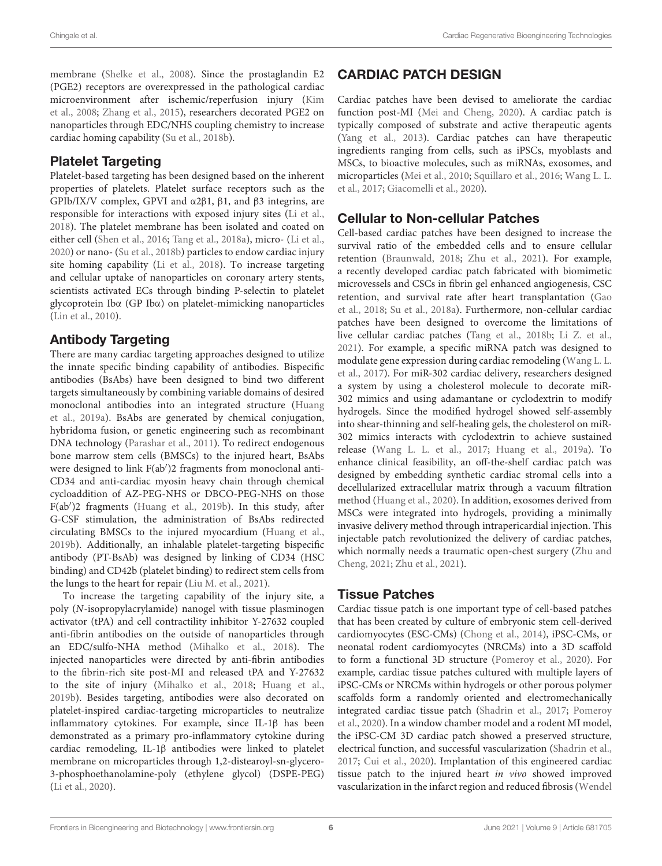membrane [\(Shelke et al.,](#page-9-25) [2008\)](#page-9-25). Since the prostaglandin E2 (PGE2) receptors are overexpressed in the pathological cardiac microenvironment after ischemic/reperfusion injury [\(Kim](#page-8-25) [et al.,](#page-8-25) [2008;](#page-8-25) [Zhang et al.,](#page-10-28) [2015\)](#page-10-28), researchers decorated PGE2 on nanoparticles through EDC/NHS coupling chemistry to increase cardiac homing capability [\(Su et al.,](#page-10-7) [2018b\)](#page-10-7).

## Platelet Targeting

Platelet-based targeting has been designed based on the inherent properties of platelets. Platelet surface receptors such as the GPIb/IX/V complex, GPVI and α2β1, β1, and β3 integrins, are responsible for interactions with exposed injury sites [\(Li et al.,](#page-8-26) [2018\)](#page-8-26). The platelet membrane has been isolated and coated on either cell [\(Shen et al.,](#page-9-26) [2016;](#page-9-26) [Tang et al.,](#page-10-29) [2018a\)](#page-10-29), micro- [\(Li et al.,](#page-8-27) [2020\)](#page-8-27) or nano- [\(Su et al.,](#page-10-7) [2018b\)](#page-10-7) particles to endow cardiac injury site homing capability [\(Li et al.,](#page-8-26) [2018\)](#page-8-26). To increase targeting and cellular uptake of nanoparticles on coronary artery stents, scientists activated ECs through binding P-selectin to platelet glycoprotein Ibα (GP Ibα) on platelet-mimicking nanoparticles [\(Lin et al.,](#page-9-27) [2010\)](#page-9-27).

## Antibody Targeting

There are many cardiac targeting approaches designed to utilize the innate specific binding capability of antibodies. Bispecific antibodies (BsAbs) have been designed to bind two different targets simultaneously by combining variable domains of desired monoclonal antibodies into an integrated structure [\(Huang](#page-8-28) [et al.,](#page-8-28) [2019a\)](#page-8-28). BsAbs are generated by chemical conjugation, hybridoma fusion, or genetic engineering such as recombinant DNA technology [\(Parashar et al.,](#page-9-28) [2011\)](#page-9-28). To redirect endogenous bone marrow stem cells (BMSCs) to the injured heart, BsAbs were designed to link F(ab')2 fragments from monoclonal anti-CD34 and anti-cardiac myosin heavy chain through chemical cycloaddition of AZ-PEG-NHS or DBCO-PEG-NHS on those F(ab')2 fragments [\(Huang et al.,](#page-8-29) [2019b\)](#page-8-29). In this study, after G-CSF stimulation, the administration of BsAbs redirected circulating BMSCs to the injured myocardium [\(Huang et al.,](#page-8-29) [2019b\)](#page-8-29). Additionally, an inhalable platelet-targeting bispecific antibody (PT-BsAb) was designed by linking of CD34 (HSC binding) and CD42b (platelet binding) to redirect stem cells from the lungs to the heart for repair [\(Liu M. et al.,](#page-9-29) [2021\)](#page-9-29).

To increase the targeting capability of the injury site, a poly (N-isopropylacrylamide) nanogel with tissue plasminogen activator (tPA) and cell contractility inhibitor Y-27632 coupled anti-fibrin antibodies on the outside of nanoparticles through an EDC/sulfo-NHA method [\(Mihalko et al.,](#page-9-30) [2018\)](#page-9-30). The injected nanoparticles were directed by anti-fibrin antibodies to the fibrin-rich site post-MI and released tPA and Y-27632 to the site of injury [\(Mihalko et al.,](#page-9-30) [2018;](#page-9-30) [Huang et al.,](#page-8-29) [2019b\)](#page-8-29). Besides targeting, antibodies were also decorated on platelet-inspired cardiac-targeting microparticles to neutralize inflammatory cytokines. For example, since IL-1β has been demonstrated as a primary pro-inflammatory cytokine during cardiac remodeling, IL-1β antibodies were linked to platelet membrane on microparticles through 1,2-distearoyl-sn-glycero-3-phosphoethanolamine-poly (ethylene glycol) (DSPE-PEG) [\(Li et al.,](#page-8-27) [2020\)](#page-8-27).

# CARDIAC PATCH DESIGN

Cardiac patches have been devised to ameliorate the cardiac function post-MI [\(Mei and Cheng,](#page-9-7) [2020\)](#page-9-7). A cardiac patch is typically composed of substrate and active therapeutic agents [\(Yang et al.,](#page-10-30) [2013\)](#page-10-30). Cardiac patches can have therapeutic ingredients ranging from cells, such as iPSCs, myoblasts and MSCs, to bioactive molecules, such as miRNAs, exosomes, and microparticles [\(Mei et al.,](#page-9-31) [2010;](#page-9-31) [Squillaro et al.,](#page-9-32) [2016;](#page-9-32) [Wang L. L.](#page-10-31) [et al.,](#page-10-31) [2017;](#page-10-31) [Giacomelli et al.,](#page-8-30) [2020\)](#page-8-30).

# Cellular to Non-cellular Patches

Cell-based cardiac patches have been designed to increase the survival ratio of the embedded cells and to ensure cellular retention [\(Braunwald,](#page-7-19) [2018;](#page-7-19) [Zhu et al.,](#page-10-32) [2021\)](#page-10-32). For example, a recently developed cardiac patch fabricated with biomimetic microvessels and CSCs in fibrin gel enhanced angiogenesis, CSC retention, and survival rate after heart transplantation [\(Gao](#page-8-31) [et al.,](#page-8-31) [2018;](#page-8-31) [Su et al.,](#page-10-33) [2018a\)](#page-10-33). Furthermore, non-cellular cardiac patches have been designed to overcome the limitations of live cellular cardiac patches [\(Tang et al.,](#page-10-34) [2018b;](#page-10-34) [Li Z. et al.,](#page-8-32) [2021\)](#page-8-32). For example, a specific miRNA patch was designed to modulate gene expression during cardiac remodeling [\(Wang L. L.](#page-10-31) [et al.,](#page-10-31) [2017\)](#page-10-31). For miR-302 cardiac delivery, researchers designed a system by using a cholesterol molecule to decorate miR-302 mimics and using adamantane or cyclodextrin to modify hydrogels. Since the modified hydrogel showed self-assembly into shear-thinning and self-healing gels, the cholesterol on miR-302 mimics interacts with cyclodextrin to achieve sustained release [\(Wang L. L. et al.,](#page-10-31) [2017;](#page-10-31) [Huang et al.,](#page-8-28) [2019a\)](#page-8-28). To enhance clinical feasibility, an off-the-shelf cardiac patch was designed by embedding synthetic cardiac stromal cells into a decellularized extracellular matrix through a vacuum filtration method [\(Huang et al.,](#page-8-2) [2020\)](#page-8-2). In addition, exosomes derived from MSCs were integrated into hydrogels, providing a minimally invasive delivery method through intrapericardial injection. This injectable patch revolutionized the delivery of cardiac patches, which normally needs a traumatic open-chest surgery [\(Zhu and](#page-10-35) [Cheng,](#page-10-35) [2021;](#page-10-35) [Zhu et al.,](#page-10-32) [2021\)](#page-10-32).

# Tissue Patches

Cardiac tissue patch is one important type of cell-based patches that has been created by culture of embryonic stem cell-derived cardiomyocytes (ESC-CMs) [\(Chong et al.,](#page-7-20) [2014\)](#page-7-20), iPSC-CMs, or neonatal rodent cardiomyocytes (NRCMs) into a 3D scaffold to form a functional 3D structure [\(Pomeroy et al.,](#page-9-33) [2020\)](#page-9-33). For example, cardiac tissue patches cultured with multiple layers of iPSC-CMs or NRCMs within hydrogels or other porous polymer scaffolds form a randomly oriented and electromechanically integrated cardiac tissue patch [\(Shadrin et al.,](#page-9-34) [2017;](#page-9-34) [Pomeroy](#page-9-33) [et al.,](#page-9-33) [2020\)](#page-9-33). In a window chamber model and a rodent MI model, the iPSC-CM 3D cardiac patch showed a preserved structure, electrical function, and successful vascularization [\(Shadrin et al.,](#page-9-34) [2017;](#page-9-34) [Cui et al.,](#page-7-21) [2020\)](#page-7-21). Implantation of this engineered cardiac tissue patch to the injured heart in vivo showed improved vascularization in the infarct region and reduced fibrosis [\(Wendel](#page-10-36)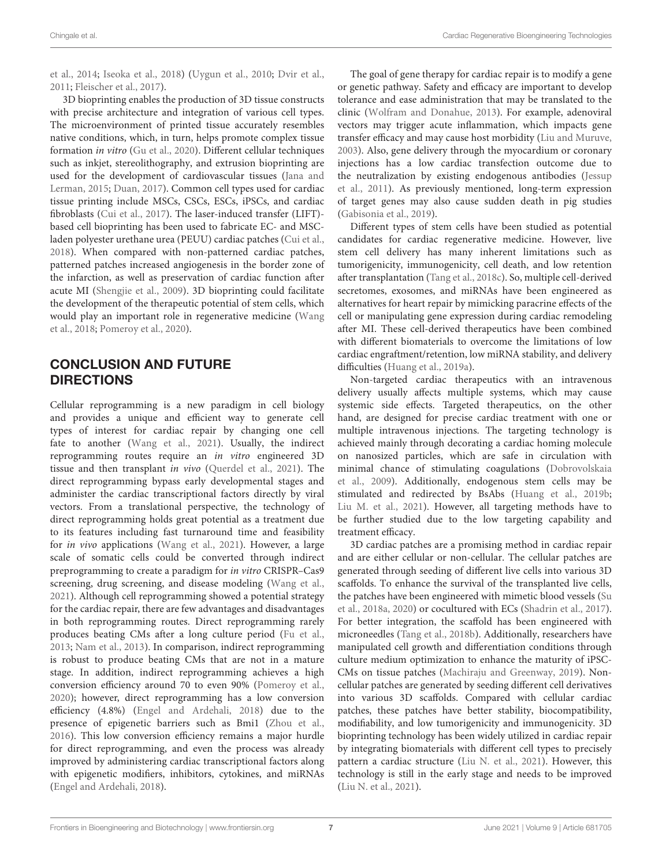[et al.,](#page-10-36) [2014;](#page-10-36) [Iseoka et al.,](#page-8-33) [2018\)](#page-8-33) [\(Uygun et al.,](#page-10-37) [2010;](#page-10-37) [Dvir et al.,](#page-7-22) [2011;](#page-7-22) [Fleischer et al.,](#page-8-34) [2017\)](#page-8-34).

3D bioprinting enables the production of 3D tissue constructs with precise architecture and integration of various cell types. The microenvironment of printed tissue accurately resembles native conditions, which, in turn, helps promote complex tissue formation in vitro [\(Gu et al.,](#page-8-35) [2020\)](#page-8-35). Different cellular techniques such as inkjet, stereolithography, and extrusion bioprinting are used for the development of cardiovascular tissues [\(Jana and](#page-8-36) [Lerman,](#page-8-36) [2015;](#page-8-36) [Duan,](#page-7-23) [2017\)](#page-7-23). Common cell types used for cardiac tissue printing include MSCs, CSCs, ESCs, iPSCs, and cardiac fibroblasts [\(Cui et al.,](#page-7-24) [2017\)](#page-7-24). The laser-induced transfer (LIFT) based cell bioprinting has been used to fabricate EC- and MSCladen polyester urethane urea (PEUU) cardiac patches [\(Cui et al.,](#page-7-25) [2018\)](#page-7-25). When compared with non-patterned cardiac patches, patterned patches increased angiogenesis in the border zone of the infarction, as well as preservation of cardiac function after acute MI [\(Shengjie et al.,](#page-9-35) [2009\)](#page-9-35). 3D bioprinting could facilitate the development of the therapeutic potential of stem cells, which would play an important role in regenerative medicine [\(Wang](#page-10-38) [et al.,](#page-10-38) [2018;](#page-10-38) [Pomeroy et al.,](#page-9-33) [2020\)](#page-9-33).

#### CONCLUSION AND FUTURE **DIRECTIONS**

Cellular reprogramming is a new paradigm in cell biology and provides a unique and efficient way to generate cell types of interest for cardiac repair by changing one cell fate to another [\(Wang et al.,](#page-10-5) [2021\)](#page-10-5). Usually, the indirect reprogramming routes require an in vitro engineered 3D tissue and then transplant in vivo [\(Querdel et al.,](#page-9-36) [2021\)](#page-9-36). The direct reprogramming bypass early developmental stages and administer the cardiac transcriptional factors directly by viral vectors. From a translational perspective, the technology of direct reprogramming holds great potential as a treatment due to its features including fast turnaround time and feasibility for in vivo applications [\(Wang et al.,](#page-10-5) [2021\)](#page-10-5). However, a large scale of somatic cells could be converted through indirect preprogramming to create a paradigm for in vitro CRISPR–Cas9 screening, drug screening, and disease modeling [\(Wang et al.,](#page-10-5) [2021\)](#page-10-5). Although cell reprogramming showed a potential strategy for the cardiac repair, there are few advantages and disadvantages in both reprogramming routes. Direct reprogramming rarely produces beating CMs after a long culture period [\(Fu et al.,](#page-8-37) [2013;](#page-8-37) [Nam et al.,](#page-9-37) [2013\)](#page-9-37). In comparison, indirect reprogramming is robust to produce beating CMs that are not in a mature stage. In addition, indirect reprogramming achieves a high conversion efficiency around 70 to even 90% [\(Pomeroy et al.,](#page-9-33) [2020\)](#page-9-33); however, direct reprogramming has a low conversion efficiency (4.8%) [\(Engel and Ardehali,](#page-8-38) [2018\)](#page-8-38) due to the presence of epigenetic barriers such as Bmi1 [\(Zhou et al.,](#page-10-39) [2016\)](#page-10-39). This low conversion efficiency remains a major hurdle for direct reprogramming, and even the process was already improved by administering cardiac transcriptional factors along with epigenetic modifiers, inhibitors, cytokines, and miRNAs [\(Engel and Ardehali,](#page-8-38) [2018\)](#page-8-38).

The goal of gene therapy for cardiac repair is to modify a gene or genetic pathway. Safety and efficacy are important to develop tolerance and ease administration that may be translated to the clinic [\(Wolfram and Donahue,](#page-10-15) [2013\)](#page-10-15). For example, adenoviral vectors may trigger acute inflammation, which impacts gene transfer efficacy and may cause host morbidity [\(Liu and Muruve,](#page-9-38) [2003\)](#page-9-38). Also, gene delivery through the myocardium or coronary injections has a low cardiac transfection outcome due to the neutralization by existing endogenous antibodies [\(Jessup](#page-8-12) [et al.,](#page-8-12) [2011\)](#page-8-12). As previously mentioned, long-term expression of target genes may also cause sudden death in pig studies [\(Gabisonia et al.,](#page-8-13) [2019\)](#page-8-13).

Different types of stem cells have been studied as potential candidates for cardiac regenerative medicine. However, live stem cell delivery has many inherent limitations such as tumorigenicity, immunogenicity, cell death, and low retention after transplantation [\(Tang et al.,](#page-10-6) [2018c\)](#page-10-6). So, multiple cell-derived secretomes, exosomes, and miRNAs have been engineered as alternatives for heart repair by mimicking paracrine effects of the cell or manipulating gene expression during cardiac remodeling after MI. These cell-derived therapeutics have been combined with different biomaterials to overcome the limitations of low cardiac engraftment/retention, low miRNA stability, and delivery difficulties [\(Huang et al.,](#page-8-28) [2019a\)](#page-8-28).

Non-targeted cardiac therapeutics with an intravenous delivery usually affects multiple systems, which may cause systemic side effects. Targeted therapeutics, on the other hand, are designed for precise cardiac treatment with one or multiple intravenous injections. The targeting technology is achieved mainly through decorating a cardiac homing molecule on nanosized particles, which are safe in circulation with minimal chance of stimulating coagulations [\(Dobrovolskaia](#page-7-26) [et al.,](#page-7-26) [2009\)](#page-7-26). Additionally, endogenous stem cells may be stimulated and redirected by BsAbs [\(Huang et al.,](#page-8-29) [2019b;](#page-8-29) [Liu M. et al.,](#page-9-29) [2021\)](#page-9-29). However, all targeting methods have to be further studied due to the low targeting capability and treatment efficacy.

3D cardiac patches are a promising method in cardiac repair and are either cellular or non-cellular. The cellular patches are generated through seeding of different live cells into various 3D scaffolds. To enhance the survival of the transplanted live cells, the patches have been engineered with mimetic blood vessels [\(Su](#page-10-33) [et al.,](#page-10-33) [2018a,](#page-10-33) [2020\)](#page-10-40) or cocultured with ECs [\(Shadrin et al.,](#page-9-34) [2017\)](#page-9-34). For better integration, the scaffold has been engineered with microneedles [\(Tang et al.,](#page-10-34) [2018b\)](#page-10-34). Additionally, researchers have manipulated cell growth and differentiation conditions through culture medium optimization to enhance the maturity of iPSC-CMs on tissue patches [\(Machiraju and Greenway,](#page-9-39) [2019\)](#page-9-39). Noncellular patches are generated by seeding different cell derivatives into various 3D scaffolds. Compared with cellular cardiac patches, these patches have better stability, biocompatibility, modifiability, and low tumorigenicity and immunogenicity. 3D bioprinting technology has been widely utilized in cardiac repair by integrating biomaterials with different cell types to precisely pattern a cardiac structure [\(Liu N. et al.,](#page-9-40) [2021\)](#page-9-40). However, this technology is still in the early stage and needs to be improved [\(Liu N. et al.,](#page-9-40) [2021\)](#page-9-40).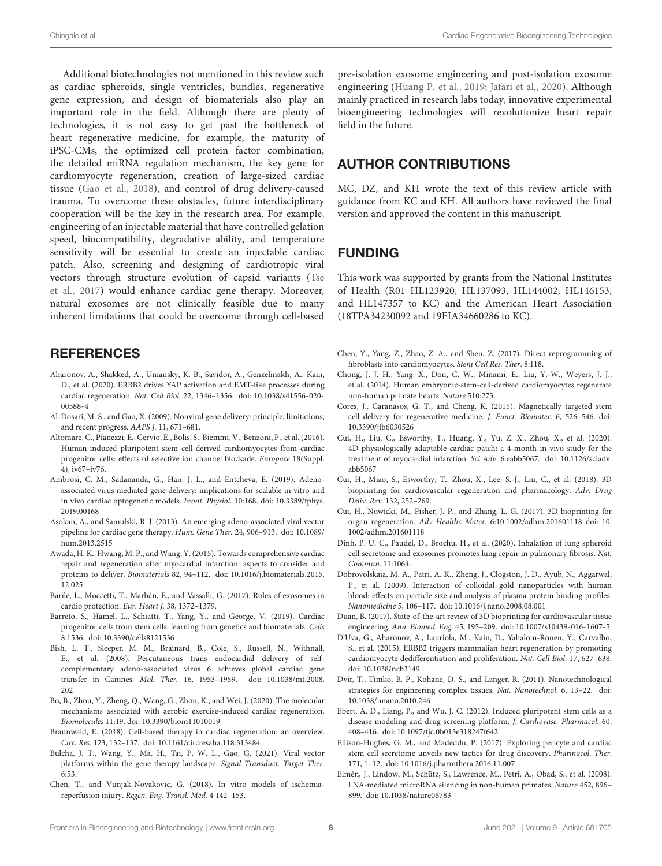Additional biotechnologies not mentioned in this review such as cardiac spheroids, single ventricles, bundles, regenerative gene expression, and design of biomaterials also play an important role in the field. Although there are plenty of technologies, it is not easy to get past the bottleneck of heart regenerative medicine, for example, the maturity of iPSC-CMs, the optimized cell protein factor combination, the detailed miRNA regulation mechanism, the key gene for cardiomyocyte regeneration, creation of large-sized cardiac tissue [\(Gao et al.,](#page-8-31) [2018\)](#page-8-31), and control of drug delivery-caused trauma. To overcome these obstacles, future interdisciplinary cooperation will be the key in the research area. For example, engineering of an injectable material that have controlled gelation speed, biocompatibility, degradative ability, and temperature sensitivity will be essential to create an injectable cardiac patch. Also, screening and designing of cardiotropic viral vectors through structure evolution of capsid variants [\(Tse](#page-10-41) [et al.,](#page-10-41) [2017\)](#page-10-41) would enhance cardiac gene therapy. Moreover, natural exosomes are not clinically feasible due to many inherent limitations that could be overcome through cell-based

#### **REFERENCES**

- <span id="page-7-9"></span>Aharonov, A., Shakked, A., Umansky, K. B., Savidor, A., Genzelinakh, A., Kain, D., et al. (2020). ERBB2 drives YAP activation and EMT-like processes during cardiac regeneration. Nat. Cell Biol. 22, 1346–1356. [doi: 10.1038/s41556-020-](https://doi.org/10.1038/s41556-020-00588-4) [00588-4](https://doi.org/10.1038/s41556-020-00588-4)
- <span id="page-7-10"></span>Al-Dosari, M. S., and Gao, X. (2009). Nonviral gene delivery: principle, limitations, and recent progress. AAPS J. 11, 671–681.
- <span id="page-7-4"></span>Altomare, C., Pianezzi, E., Cervio, E., Bolis, S., Biemmi, V., Benzoni, P., et al. (2016). Human-induced pluripotent stem cell-derived cardiomyocytes from cardiac progenitor cells: effects of selective ion channel blockade. Europace 18(Suppl. 4), iv67–iv76.
- <span id="page-7-12"></span>Ambrosi, C. M., Sadananda, G., Han, J. L., and Entcheva, E. (2019). Adenoassociated virus mediated gene delivery: implications for scalable in vitro and in vivo cardiac optogenetic models. Front. Physiol. 10:168. [doi: 10.3389/fphys.](https://doi.org/10.3389/fphys.2019.00168) [2019.00168](https://doi.org/10.3389/fphys.2019.00168)
- <span id="page-7-18"></span>Asokan, A., and Samulski, R. J. (2013). An emerging adeno-associated viral vector pipeline for cardiac gene therapy. Hum. Gene Ther. 24, 906–913. [doi: 10.1089/](https://doi.org/10.1089/hum.2013.2515) [hum.2013.2515](https://doi.org/10.1089/hum.2013.2515)
- <span id="page-7-1"></span>Awada, H. K., Hwang, M. P., and Wang, Y. (2015). Towards comprehensive cardiac repair and regeneration after myocardial infarction: aspects to consider and proteins to deliver. Biomaterials 82, 94–112. [doi: 10.1016/j.biomaterials.2015.](https://doi.org/10.1016/j.biomaterials.2015.12.025) [12.025](https://doi.org/10.1016/j.biomaterials.2015.12.025)
- <span id="page-7-15"></span>Barile, L., Moccetti, T., Marbán, E., and Vassalli, G. (2017). Roles of exosomes in cardio protection. Eur. Heart J. 38, 1372–1379.
- <span id="page-7-6"></span>Barreto, S., Hamel, L., Schiatti, T., Yang, Y., and George, V. (2019). Cardiac progenitor cells from stem cells: learning from genetics and biomaterials. Cells 8:1536. [doi: 10.3390/cells8121536](https://doi.org/10.3390/cells8121536)
- <span id="page-7-17"></span>Bish, L. T., Sleeper, M. M., Brainard, B., Cole, S., Russell, N., Withnall, E., et al. (2008). Percutaneous trans endocardial delivery of selfcomplementary adeno-associated virus 6 achieves global cardiac gene transfer in Canines. Mol. Ther. 16, 1953–1959. [doi: 10.1038/mt.2008.](https://doi.org/10.1038/mt.2008.202) [202](https://doi.org/10.1038/mt.2008.202)
- <span id="page-7-0"></span>Bo, B., Zhou, Y., Zheng, Q., Wang, G., Zhou, K., and Wei, J. (2020). The molecular mechanisms associated with aerobic exercise-induced cardiac regeneration. Biomolecules 11:19. [doi: 10.3390/biom11010019](https://doi.org/10.3390/biom11010019)
- <span id="page-7-19"></span>Braunwald, E. (2018). Cell-based therapy in cardiac regeneration: an overview. Circ. Res. 123, 132–137. [doi: 10.1161/circresaha.118.313484](https://doi.org/10.1161/circresaha.118.313484)
- <span id="page-7-11"></span>Bulcha, J. T., Wang, Y., Ma, H., Tai, P. W. L., Gao, G. (2021). Viral vector platforms within the gene therapy landscape. Signal Transduct. Target Ther. 6:53.
- <span id="page-7-3"></span>Chen, T., and Vunjak-Novakovic, G. (2018). In vitro models of ischemiareperfusion injury. Regen. Eng. Transl. Med. 4 142–153.

pre-isolation exosome engineering and post-isolation exosome engineering [\(Huang P. et al.,](#page-8-17) [2019;](#page-8-17) [Jafari et al.,](#page-8-39) [2020\)](#page-8-39). Although mainly practiced in research labs today, innovative experimental bioengineering technologies will revolutionize heart repair field in the future.

#### AUTHOR CONTRIBUTIONS

MC, DZ, and KH wrote the text of this review article with guidance from KC and KH. All authors have reviewed the final version and approved the content in this manuscript.

## FUNDING

This work was supported by grants from the National Institutes of Health (R01 HL123920, HL137093, HL144002, HL146153, and HL147357 to KC) and the American Heart Association (18TPA34230092 and 19EIA34660286 to KC).

- <span id="page-7-5"></span>Chen, Y., Yang, Z., Zhao, Z.-A., and Shen, Z. (2017). Direct reprogramming of fibroblasts into cardiomyocytes. Stem Cell Res. Ther. 8:118.
- <span id="page-7-20"></span>Chong, J. J. H., Yang, X., Don, C. W., Minami, E., Liu, Y.-W., Weyers, J. J., et al. (2014). Human embryonic-stem-cell-derived cardiomyocytes regenerate non-human primate hearts. Nature 510:273.
- <span id="page-7-16"></span>Cores, J., Caranasos, G. T., and Cheng, K. (2015). Magnetically targeted stem cell delivery for regenerative medicine. J. Funct. Biomater. 6, 526–546. [doi:](https://doi.org/10.3390/jfb6030526) [10.3390/jfb6030526](https://doi.org/10.3390/jfb6030526)
- <span id="page-7-21"></span>Cui, H., Liu, C., Esworthy, T., Huang, Y., Yu, Z. X., Zhou, X., et al. (2020). 4D physiologically adaptable cardiac patch: a 4-month in vivo study for the treatment of myocardial infarction. Sci Adv. 6:eabb5067. [doi: 10.1126/sciadv.](https://doi.org/10.1126/sciadv.abb5067) [abb5067](https://doi.org/10.1126/sciadv.abb5067)
- <span id="page-7-25"></span>Cui, H., Miao, S., Esworthy, T., Zhou, X., Lee, S.-J., Liu, C., et al. (2018). 3D bioprinting for cardiovascular regeneration and pharmacology. Adv. Drug Deliv. Rev. 132, 252–269.
- <span id="page-7-24"></span>Cui, H., Nowicki, M., Fisher, J. P., and Zhang, L. G. (2017). 3D bioprinting for organ regeneration. Adv Healthc Mater. 6:10.1002/adhm.201601118 [doi: 10.](https://doi.org/10.1002/adhm.201601118) [1002/adhm.201601118](https://doi.org/10.1002/adhm.201601118)
- <span id="page-7-14"></span>Dinh, P. U. C., Paudel, D., Brochu, H., et al. (2020). Inhalation of lung spheroid cell secretome and exosomes promotes lung repair in pulmonary fibrosis. Nat. Commun. 11:1064.
- <span id="page-7-26"></span>Dobrovolskaia, M. A., Patri, A. K., Zheng, J., Clogston, J. D., Ayub, N., Aggarwal, P., et al. (2009). Interaction of colloidal gold nanoparticles with human blood: effects on particle size and analysis of plasma protein binding profiles. Nanomedicine 5, 106–117. [doi: 10.1016/j.nano.2008.08.001](https://doi.org/10.1016/j.nano.2008.08.001)
- <span id="page-7-23"></span>Duan, B. (2017). State-of-the-art review of 3D bioprinting for cardiovascular tissue engineering. Ann. Biomed. Eng. 45, 195–209. [doi: 10.1007/s10439-016-1607-5](https://doi.org/10.1007/s10439-016-1607-5)
- <span id="page-7-8"></span>D'Uva, G., Aharonov, A., Lauriola, M., Kain, D., Yahalom-Ronen, Y., Carvalho, S., et al. (2015). ERBB2 triggers mammalian heart regeneration by promoting cardiomyocyte dedifferentiation and proliferation. Nat. Cell Biol. 17, 627–638. [doi: 10.1038/ncb3149](https://doi.org/10.1038/ncb3149)
- <span id="page-7-22"></span>Dvir, T., Timko, B. P., Kohane, D. S., and Langer, R. (2011). Nanotechnological strategies for engineering complex tissues. Nat. Nanotechnol. 6, 13–22. [doi:](https://doi.org/10.1038/nnano.2010.246) [10.1038/nnano.2010.246](https://doi.org/10.1038/nnano.2010.246)
- <span id="page-7-2"></span>Ebert, A. D., Liang, P., and Wu, J. C. (2012). Induced pluripotent stem cells as a disease modeling and drug screening platform. J. Cardiovasc. Pharmacol. 60, 408–416. [doi: 10.1097/fjc.0b013e318247f642](https://doi.org/10.1097/fjc.0b013e318247f642)
- <span id="page-7-13"></span>Ellison-Hughes, G. M., and Madeddu, P. (2017). Exploring pericyte and cardiac stem cell secretome unveils new tactics for drug discovery. Pharmacol. Ther. 171, 1–12. [doi: 10.1016/j.pharmthera.2016.11.007](https://doi.org/10.1016/j.pharmthera.2016.11.007)
- <span id="page-7-7"></span>Elmén, J., Lindow, M., Schütz, S., Lawrence, M., Petri, A., Obad, S., et al. (2008). LNA-mediated microRNA silencing in non-human primates. Nature 452, 896– 899. [doi: 10.1038/nature06783](https://doi.org/10.1038/nature06783)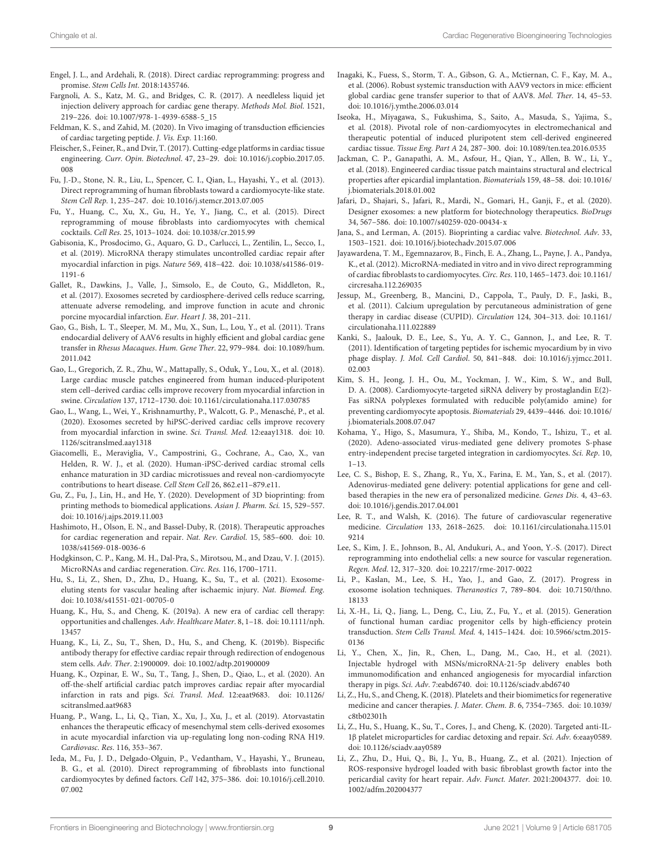- <span id="page-8-38"></span>Engel, J. L., and Ardehali, R. (2018). Direct cardiac reprogramming: progress and promise. Stem Cells Int. 2018:1435746.
- <span id="page-8-10"></span>Fargnoli, A. S., Katz, M. G., and Bridges, C. R. (2017). A needleless liquid jet injection delivery approach for cardiac gene therapy. Methods Mol. Biol. 1521, 219–226. [doi: 10.1007/978-1-4939-6588-5\\_15](https://doi.org/10.1007/978-1-4939-6588-5_15)
- <span id="page-8-24"></span>Feldman, K. S., and Zahid, M. (2020). In Vivo imaging of transduction efficiencies of cardiac targeting peptide. J. Vis. Exp. 11:160.
- <span id="page-8-34"></span>Fleischer, S., Feiner, R., and Dvir, T. (2017). Cutting-edge platforms in cardiac tissue engineering. Curr. Opin. Biotechnol. 47, 23–29. [doi: 10.1016/j.copbio.2017.05.](https://doi.org/10.1016/j.copbio.2017.05.008) [008](https://doi.org/10.1016/j.copbio.2017.05.008)
- <span id="page-8-37"></span>Fu, J.-D., Stone, N. R., Liu, L., Spencer, C. I., Qian, L., Hayashi, Y., et al. (2013). Direct reprogramming of human fibroblasts toward a cardiomyocyte-like state. Stem Cell Rep. 1, 235–247. [doi: 10.1016/j.stemcr.2013.07.005](https://doi.org/10.1016/j.stemcr.2013.07.005)
- <span id="page-8-4"></span>Fu, Y., Huang, C., Xu, X., Gu, H., Ye, Y., Jiang, C., et al. (2015). Direct reprogramming of mouse fibroblasts into cardiomyocytes with chemical cocktails. Cell Res. 25, 1013–1024. [doi: 10.1038/cr.2015.99](https://doi.org/10.1038/cr.2015.99)
- <span id="page-8-13"></span>Gabisonia, K., Prosdocimo, G., Aquaro, G. D., Carlucci, L., Zentilin, L., Secco, I., et al. (2019). MicroRNA therapy stimulates uncontrolled cardiac repair after myocardial infarction in pigs. Nature 569, 418–422. [doi: 10.1038/s41586-019-](https://doi.org/10.1038/s41586-019-1191-6) [1191-6](https://doi.org/10.1038/s41586-019-1191-6)
- <span id="page-8-20"></span>Gallet, R., Dawkins, J., Valle, J., Simsolo, E., de Couto, G., Middleton, R., et al. (2017). Exosomes secreted by cardiosphere-derived cells reduce scarring, attenuate adverse remodeling, and improve function in acute and chronic porcine myocardial infarction. Eur. Heart J. 38, 201–211.
- <span id="page-8-22"></span>Gao, G., Bish, L. T., Sleeper, M. M., Mu, X., Sun, L., Lou, Y., et al. (2011). Trans endocardial delivery of AAV6 results in highly efficient and global cardiac gene transfer in Rhesus Macaques. Hum. Gene Ther. 22, 979–984. [doi: 10.1089/hum.](https://doi.org/10.1089/hum.2011.042) [2011.042](https://doi.org/10.1089/hum.2011.042)
- <span id="page-8-31"></span>Gao, L., Gregorich, Z. R., Zhu, W., Mattapally, S., Oduk, Y., Lou, X., et al. (2018). Large cardiac muscle patches engineered from human induced-pluripotent stem cell–derived cardiac cells improve recovery from myocardial infarction in swine. Circulation 137, 1712–1730. [doi: 10.1161/circulationaha.117.030785](https://doi.org/10.1161/circulationaha.117.030785)
- <span id="page-8-19"></span>Gao, L., Wang, L., Wei, Y., Krishnamurthy, P., Walcott, G. P., Menasché, P., et al. (2020). Exosomes secreted by hiPSC-derived cardiac cells improve recovery from myocardial infarction in swine. Sci. Transl. Med. 12:eaay1318. [doi: 10.](https://doi.org/10.1126/scitranslmed.aay1318) [1126/scitranslmed.aay1318](https://doi.org/10.1126/scitranslmed.aay1318)
- <span id="page-8-30"></span>Giacomelli, E., Meraviglia, V., Campostrini, G., Cochrane, A., Cao, X., van Helden, R. W. J., et al. (2020). Human-iPSC-derived cardiac stromal cells enhance maturation in 3D cardiac microtissues and reveal non-cardiomyocyte contributions to heart disease. Cell Stem Cell 26, 862.e11–879.e11.
- <span id="page-8-35"></span>Gu, Z., Fu, J., Lin, H., and He, Y. (2020). Development of 3D bioprinting: from printing methods to biomedical applications. Asian J. Pharm. Sci. 15, 529–557. [doi: 10.1016/j.ajps.2019.11.003](https://doi.org/10.1016/j.ajps.2019.11.003)
- <span id="page-8-7"></span>Hashimoto, H., Olson, E. N., and Bassel-Duby, R. (2018). Therapeutic approaches for cardiac regeneration and repair. Nat. Rev. Cardiol. 15, 585–600. [doi: 10.](https://doi.org/10.1038/s41569-018-0036-6) [1038/s41569-018-0036-6](https://doi.org/10.1038/s41569-018-0036-6)
- <span id="page-8-15"></span>Hodgkinson, C. P., Kang, M. H., Dal-Pra, S., Mirotsou, M., and Dzau, V. J. (2015). MicroRNAs and cardiac regeneration. Circ. Res. 116, 1700–1711.
- <span id="page-8-18"></span>Hu, S., Li, Z., Shen, D., Zhu, D., Huang, K., Su, T., et al. (2021). Exosomeeluting stents for vascular healing after ischaemic injury. Nat. Biomed. Eng. [doi: 10.1038/s41551-021-00705-0](https://doi.org/10.1038/s41551-021-00705-0)
- <span id="page-8-28"></span>Huang, K., Hu, S., and Cheng, K. (2019a). A new era of cardiac cell therapy: opportunities and challenges. Adv. Healthcare Mater. 8, 1–18. [doi: 10.1111/nph.](https://doi.org/10.1111/nph.13457) [13457](https://doi.org/10.1111/nph.13457)
- <span id="page-8-29"></span>Huang, K., Li, Z., Su, T., Shen, D., Hu, S., and Cheng, K. (2019b). Bispecific antibody therapy for effective cardiac repair through redirection of endogenous stem cells. Adv. Ther. 2:1900009. [doi: 10.1002/adtp.201900009](https://doi.org/10.1002/adtp.201900009)
- <span id="page-8-2"></span>Huang, K., Ozpinar, E. W., Su, T., Tang, J., Shen, D., Qiao, L., et al. (2020). An off-the-shelf artificial cardiac patch improves cardiac repair after myocardial infarction in rats and pigs. Sci. Transl. Med. 12:eaat9683. [doi: 10.1126/](https://doi.org/10.1126/scitranslmed.aat9683) [scitranslmed.aat9683](https://doi.org/10.1126/scitranslmed.aat9683)
- <span id="page-8-17"></span>Huang, P., Wang, L., Li, Q., Tian, X., Xu, J., Xu, J., et al. (2019). Atorvastatin enhances the therapeutic efficacy of mesenchymal stem cells-derived exosomes in acute myocardial infarction via up-regulating long non-coding RNA H19. Cardiovasc. Res. 116, 353–367.
- <span id="page-8-6"></span>Ieda, M., Fu, J. D., Delgado-Olguin, P., Vedantham, V., Hayashi, Y., Bruneau, B. G., et al. (2010). Direct reprogramming of fibroblasts into functional cardiomyocytes by defined factors. Cell 142, 375–386. [doi: 10.1016/j.cell.2010.](https://doi.org/10.1016/j.cell.2010.07.002) [07.002](https://doi.org/10.1016/j.cell.2010.07.002)
- <span id="page-8-21"></span>Inagaki, K., Fuess, S., Storm, T. A., Gibson, G. A., Mctiernan, C. F., Kay, M. A., et al. (2006). Robust systemic transduction with AAV9 vectors in mice: efficient global cardiac gene transfer superior to that of AAV8. Mol. Ther. 14, 45–53. [doi: 10.1016/j.ymthe.2006.03.014](https://doi.org/10.1016/j.ymthe.2006.03.014)
- <span id="page-8-33"></span>Iseoka, H., Miyagawa, S., Fukushima, S., Saito, A., Masuda, S., Yajima, S., et al. (2018). Pivotal role of non-cardiomyocytes in electromechanical and therapeutic potential of induced pluripotent stem cell-derived engineered cardiac tissue. Tissue Eng. Part A 24, 287–300. [doi: 10.1089/ten.tea.2016.0535](https://doi.org/10.1089/ten.tea.2016.0535)
- <span id="page-8-3"></span>Jackman, C. P., Ganapathi, A. M., Asfour, H., Qian, Y., Allen, B. W., Li, Y., et al. (2018). Engineered cardiac tissue patch maintains structural and electrical properties after epicardial implantation. Biomaterials 159, 48–58. [doi: 10.1016/](https://doi.org/10.1016/j.biomaterials.2018.01.002) [j.biomaterials.2018.01.002](https://doi.org/10.1016/j.biomaterials.2018.01.002)
- <span id="page-8-39"></span>Jafari, D., Shajari, S., Jafari, R., Mardi, N., Gomari, H., Ganji, F., et al. (2020). Designer exosomes: a new platform for biotechnology therapeutics. BioDrugs 34, 567–586. [doi: 10.1007/s40259-020-00434-x](https://doi.org/10.1007/s40259-020-00434-x)
- <span id="page-8-36"></span>Jana, S., and Lerman, A. (2015). Bioprinting a cardiac valve. Biotechnol. Adv. 33, 1503–1521. [doi: 10.1016/j.biotechadv.2015.07.006](https://doi.org/10.1016/j.biotechadv.2015.07.006)
- <span id="page-8-9"></span>Jayawardena, T. M., Egemnazarov, B., Finch, E. A., Zhang, L., Payne, J. A., Pandya, K., et al. (2012). MicroRNA-mediated in vitro and in vivo direct reprogramming of cardiac fibroblasts to cardiomyocytes. Circ. Res. 110, 1465–1473. [doi: 10.1161/](https://doi.org/10.1161/circresaha.112.269035) [circresaha.112.269035](https://doi.org/10.1161/circresaha.112.269035)
- <span id="page-8-12"></span>Jessup, M., Greenberg, B., Mancini, D., Cappola, T., Pauly, D. F., Jaski, B., et al. (2011). Calcium upregulation by percutaneous administration of gene therapy in cardiac disease (CUPID). Circulation 124, 304–313. [doi: 10.1161/](https://doi.org/10.1161/circulationaha.111.022889) [circulationaha.111.022889](https://doi.org/10.1161/circulationaha.111.022889)
- <span id="page-8-23"></span>Kanki, S., Jaalouk, D. E., Lee, S., Yu, A. Y. C., Gannon, J., and Lee, R. T. (2011). Identification of targeting peptides for ischemic myocardium by in vivo phage display. J. Mol. Cell Cardiol. 50, 841–848. [doi: 10.1016/j.yjmcc.2011.](https://doi.org/10.1016/j.yjmcc.2011.02.003) [02.003](https://doi.org/10.1016/j.yjmcc.2011.02.003)
- <span id="page-8-25"></span>Kim, S. H., Jeong, J. H., Ou, M., Yockman, J. W., Kim, S. W., and Bull, D. A. (2008). Cardiomyocyte-targeted siRNA delivery by prostaglandin E(2)- Fas siRNA polyplexes formulated with reducible poly(amido amine) for preventing cardiomyocyte apoptosis. Biomaterials 29, 4439–4446. [doi: 10.1016/](https://doi.org/10.1016/j.biomaterials.2008.07.047) [j.biomaterials.2008.07.047](https://doi.org/10.1016/j.biomaterials.2008.07.047)
- <span id="page-8-1"></span>Kohama, Y., Higo, S., Masumura, Y., Shiba, M., Kondo, T., Ishizu, T., et al. (2020). Adeno-associated virus-mediated gene delivery promotes S-phase entry-independent precise targeted integration in cardiomyocytes. Sci. Rep. 10, 1–13.
- <span id="page-8-5"></span>Lee, C. S., Bishop, E. S., Zhang, R., Yu, X., Farina, E. M., Yan, S., et al. (2017). Adenovirus-mediated gene delivery: potential applications for gene and cellbased therapies in the new era of personalized medicine. Genes Dis. 4, 43–63. [doi: 10.1016/j.gendis.2017.04.001](https://doi.org/10.1016/j.gendis.2017.04.001)
- <span id="page-8-0"></span>Lee, R. T., and Walsh, K. (2016). The future of cardiovascular regenerative medicine. Circulation 133, 2618–2625. [doi: 10.1161/circulationaha.115.01](https://doi.org/10.1161/circulationaha.115.019214) [9214](https://doi.org/10.1161/circulationaha.115.019214)
- <span id="page-8-11"></span>Lee, S., Kim, J. E., Johnson, B., Al, Andukuri, A., and Yoon, Y.-S. (2017). Direct reprogramming into endothelial cells: a new source for vascular regeneration. Regen. Med. 12, 317–320. [doi: 10.2217/rme-2017-0022](https://doi.org/10.2217/rme-2017-0022)
- <span id="page-8-16"></span>Li, P., Kaslan, M., Lee, S. H., Yao, J., and Gao, Z. (2017). Progress in exosome isolation techniques. Theranostics 7, 789–804. [doi: 10.7150/thno.](https://doi.org/10.7150/thno.18133) [18133](https://doi.org/10.7150/thno.18133)
- <span id="page-8-8"></span>Li, X.-H., Li, Q., Jiang, L., Deng, C., Liu, Z., Fu, Y., et al. (2015). Generation of functional human cardiac progenitor cells by high-efficiency protein transduction. Stem Cells Transl. Med. 4, 1415–1424. [doi: 10.5966/sctm.2015-](https://doi.org/10.5966/sctm.2015-0136) [0136](https://doi.org/10.5966/sctm.2015-0136)
- <span id="page-8-14"></span>Li, Y., Chen, X., Jin, R., Chen, L., Dang, M., Cao, H., et al. (2021). Injectable hydrogel with MSNs/microRNA-21-5p delivery enables both immunomodification and enhanced angiogenesis for myocardial infarction therapy in pigs. Sci. Adv. 7:eabd6740. [doi: 10.1126/sciadv.abd6740](https://doi.org/10.1126/sciadv.abd6740)
- <span id="page-8-26"></span>Li, Z., Hu, S., and Cheng, K. (2018). Platelets and their biomimetics for regenerative medicine and cancer therapies. J. Mater. Chem. B. 6, 7354–7365. [doi: 10.1039/](https://doi.org/10.1039/c8tb02301h) [c8tb02301h](https://doi.org/10.1039/c8tb02301h)
- <span id="page-8-27"></span>Li, Z., Hu, S., Huang, K., Su, T., Cores, J., and Cheng, K. (2020). Targeted anti-IL-1β platelet microparticles for cardiac detoxing and repair. Sci. Adv. 6:eaay0589. [doi: 10.1126/sciadv.aay0589](https://doi.org/10.1126/sciadv.aay0589)
- <span id="page-8-32"></span>Li, Z., Zhu, D., Hui, Q., Bi, J., Yu, B., Huang, Z., et al. (2021). Injection of ROS-responsive hydrogel loaded with basic fibroblast growth factor into the pericardial cavity for heart repair. Adv. Funct. Mater. 2021:2004377. [doi: 10.](https://doi.org/10.1002/adfm.202004377) [1002/adfm.202004377](https://doi.org/10.1002/adfm.202004377)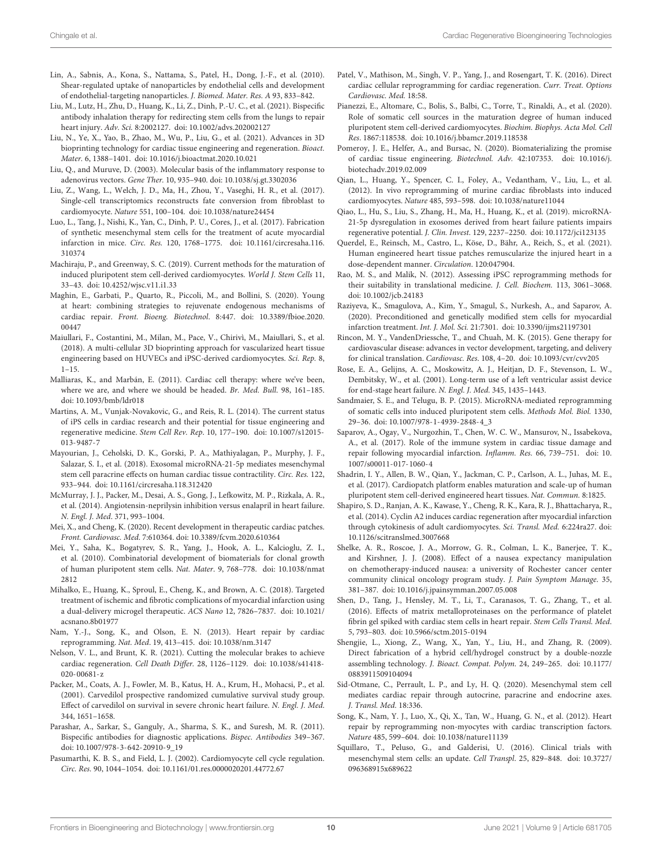- <span id="page-9-27"></span>Lin, A., Sabnis, A., Kona, S., Nattama, S., Patel, H., Dong, J.-F., et al. (2010). Shear-regulated uptake of nanoparticles by endothelial cells and development of endothelial-targeting nanoparticles. J. Biomed. Mater. Res. A 93, 833–842.
- <span id="page-9-29"></span>Liu, M., Lutz, H., Zhu, D., Huang, K., Li, Z., Dinh, P.-U. C., et al. (2021). Bispecific antibody inhalation therapy for redirecting stem cells from the lungs to repair heart injury. Adv. Sci. 8:2002127. [doi: 10.1002/advs.202002127](https://doi.org/10.1002/advs.202002127)
- <span id="page-9-40"></span>Liu, N., Ye, X., Yao, B., Zhao, M., Wu, P., Liu, G., et al. (2021). Advances in 3D bioprinting technology for cardiac tissue engineering and regeneration. Bioact. Mater. 6, 1388–1401. [doi: 10.1016/j.bioactmat.2020.10.021](https://doi.org/10.1016/j.bioactmat.2020.10.021)
- <span id="page-9-38"></span>Liu, Q., and Muruve, D. (2003). Molecular basis of the inflammatory response to adenovirus vectors. Gene Ther. 10, 935–940. [doi: 10.1038/sj.gt.3302036](https://doi.org/10.1038/sj.gt.3302036)
- <span id="page-9-16"></span>Liu, Z., Wang, L., Welch, J. D., Ma, H., Zhou, Y., Vaseghi, H. R., et al. (2017). Single-cell transcriptomics reconstructs fate conversion from fibroblast to cardiomyocyte. Nature 551, 100–104. [doi: 10.1038/nature24454](https://doi.org/10.1038/nature24454)
- <span id="page-9-21"></span>Luo, L., Tang, J., Nishi, K., Yan, C., Dinh, P. U., Cores, J., et al. (2017). Fabrication of synthetic mesenchymal stem cells for the treatment of acute myocardial infarction in mice. Circ. Res. 120, 1768–1775. [doi: 10.1161/circresaha.116.](https://doi.org/10.1161/circresaha.116.310374) [310374](https://doi.org/10.1161/circresaha.116.310374)
- <span id="page-9-39"></span>Machiraju, P., and Greenway, S. C. (2019). Current methods for the maturation of induced pluripotent stem cell-derived cardiomyocytes. World J. Stem Cells 11, 33–43. [doi: 10.4252/wjsc.v11.i1.33](https://doi.org/10.4252/wjsc.v11.i1.33)
- <span id="page-9-19"></span>Maghin, E., Garbati, P., Quarto, R., Piccoli, M., and Bollini, S. (2020). Young at heart: combining strategies to rejuvenate endogenous mechanisms of cardiac repair. Front. Bioeng. Biotechnol. 8:447. [doi: 10.3389/fbioe.2020.](https://doi.org/10.3389/fbioe.2020.00447) [00447](https://doi.org/10.3389/fbioe.2020.00447)
- <span id="page-9-8"></span>Maiullari, F., Costantini, M., Milan, M., Pace, V., Chirivì, M., Maiullari, S., et al. (2018). A multi-cellular 3D bioprinting approach for vascularized heart tissue engineering based on HUVECs and iPSC-derived cardiomyocytes. Sci. Rep. 8, 1–15.
- <span id="page-9-24"></span>Malliaras, K., and Marbán, E. (2011). Cardiac cell therapy: where we've been, where we are, and where we should be headed. Br. Med. Bull. 98, 161–185. [doi: 10.1093/bmb/ldr018](https://doi.org/10.1093/bmb/ldr018)
- <span id="page-9-11"></span>Martins, A. M., Vunjak-Novakovic, G., and Reis, R. L. (2014). The current status of iPS cells in cardiac research and their potential for tissue engineering and regenerative medicine. Stem Cell Rev. Rep. 10, 177–190. [doi: 10.1007/s12015-](https://doi.org/10.1007/s12015-013-9487-7) [013-9487-7](https://doi.org/10.1007/s12015-013-9487-7)
- <span id="page-9-22"></span>Mayourian, J., Ceholski, D. K., Gorski, P. A., Mathiyalagan, P., Murphy, J. F., Salazar, S. I., et al. (2018). Exosomal microRNA-21-5p mediates mesenchymal stem cell paracrine effects on human cardiac tissue contractility. Circ. Res. 122, 933–944. [doi: 10.1161/circresaha.118.312420](https://doi.org/10.1161/circresaha.118.312420)
- <span id="page-9-4"></span>McMurray, J. J., Packer, M., Desai, A. S., Gong, J., Lefkowitz, M. P., Rizkala, A. R., et al. (2014). Angiotensin-neprilysin inhibition versus enalapril in heart failure. N. Engl. J. Med. 371, 993–1004.
- <span id="page-9-7"></span>Mei, X., and Cheng, K. (2020). Recent development in therapeutic cardiac patches. Front. Cardiovasc. Med. 7:610364. [doi: 10.3389/fcvm.2020.610364](https://doi.org/10.3389/fcvm.2020.610364)
- <span id="page-9-31"></span>Mei, Y., Saha, K., Bogatyrev, S. R., Yang, J., Hook, A. L., Kalcioglu, Z. I., et al. (2010). Combinatorial development of biomaterials for clonal growth of human pluripotent stem cells. Nat. Mater. 9, 768–778. [doi: 10.1038/nmat](https://doi.org/10.1038/nmat2812) [2812](https://doi.org/10.1038/nmat2812)
- <span id="page-9-30"></span>Mihalko, E., Huang, K., Sproul, E., Cheng, K., and Brown, A. C. (2018). Targeted treatment of ischemic and fibrotic complications of myocardial infarction using a dual-delivery microgel therapeutic. ACS Nano 12, 7826–7837. [doi: 10.1021/](https://doi.org/10.1021/acsnano.8b01977) [acsnano.8b01977](https://doi.org/10.1021/acsnano.8b01977)
- <span id="page-9-37"></span>Nam, Y.-J., Song, K., and Olson, E. N. (2013). Heart repair by cardiac reprogramming. Nat. Med. 19, 413–415. [doi: 10.1038/nm.3147](https://doi.org/10.1038/nm.3147)
- <span id="page-9-1"></span>Nelson, V. L., and Brunt, K. R. (2021). Cutting the molecular brakes to achieve cardiac regeneration. Cell Death Differ. 28, 1126–1129. [doi: 10.1038/s41418-](https://doi.org/10.1038/s41418-020-00681-z) [020-00681-z](https://doi.org/10.1038/s41418-020-00681-z)
- <span id="page-9-3"></span>Packer, M., Coats, A. J., Fowler, M. B., Katus, H. A., Krum, H., Mohacsi, P., et al. (2001). Carvedilol prospective randomized cumulative survival study group. Effect of carvedilol on survival in severe chronic heart failure. N. Engl. J. Med. 344, 1651–1658.
- <span id="page-9-28"></span>Parashar, A., Sarkar, S., Ganguly, A., Sharma, S. K., and Suresh, M. R. (2011). Bispecific antibodies for diagnostic applications. Bispec. Antibodies 349–367. [doi: 10.1007/978-3-642-20910-9\\_19](https://doi.org/10.1007/978-3-642-20910-9_19)
- <span id="page-9-13"></span>Pasumarthi, K. B. S., and Field, L. J. (2002). Cardiomyocyte cell cycle regulation. Circ. Res. 90, 1044–1054. [doi: 10.1161/01.res.0000020201.44772.67](https://doi.org/10.1161/01.res.0000020201.44772.67)
- <span id="page-9-10"></span>Patel, V., Mathison, M., Singh, V. P., Yang, J., and Rosengart, T. K. (2016). Direct cardiac cellular reprogramming for cardiac regeneration. Curr. Treat. Options Cardiovasc. Med. 18:58.
- <span id="page-9-12"></span>Pianezzi, E., Altomare, C., Bolis, S., Balbi, C., Torre, T., Rinaldi, A., et al. (2020). Role of somatic cell sources in the maturation degree of human induced pluripotent stem cell-derived cardiomyocytes. Biochim. Biophys. Acta Mol. Cell Res. 1867:118538. [doi: 10.1016/j.bbamcr.2019.118538](https://doi.org/10.1016/j.bbamcr.2019.118538)
- <span id="page-9-33"></span>Pomeroy, J. E., Helfer, A., and Bursac, N. (2020). Biomaterializing the promise of cardiac tissue engineering. Biotechnol. Adv. 42:107353. [doi: 10.1016/j.](https://doi.org/10.1016/j.biotechadv.2019.02.009) [biotechadv.2019.02.009](https://doi.org/10.1016/j.biotechadv.2019.02.009)
- <span id="page-9-15"></span>Qian, L., Huang, Y., Spencer, C. I., Foley, A., Vedantham, V., Liu, L., et al. (2012). In vivo reprogramming of murine cardiac fibroblasts into induced cardiomyocytes. Nature 485, 593–598. [doi: 10.1038/nature11044](https://doi.org/10.1038/nature11044)
- <span id="page-9-23"></span>Qiao, L., Hu, S., Liu, S., Zhang, H., Ma, H., Huang, K., et al. (2019). microRNA-21-5p dysregulation in exosomes derived from heart failure patients impairs regenerative potential. J. Clin. Invest. 129, 2237–2250. [doi: 10.1172/jci123135](https://doi.org/10.1172/jci123135)
- <span id="page-9-36"></span>Querdel, E., Reinsch, M., Castro, L., Köse, D., Bähr, A., Reich, S., et al. (2021). Human engineered heart tissue patches remuscularize the injured heart in a dose-dependent manner. Circulation. 120:047904.
- <span id="page-9-9"></span>Rao, M. S., and Malik, N. (2012). Assessing iPSC reprogramming methods for their suitability in translational medicine. J. Cell. Biochem. 113, 3061–3068. [doi: 10.1002/jcb.24183](https://doi.org/10.1002/jcb.24183)
- <span id="page-9-5"></span>Raziyeva, K., Smagulova, A., Kim, Y., Smagul, S., Nurkesh, A., and Saparov, A. (2020). Preconditioned and genetically modified stem cells for myocardial infarction treatment. Int. J. Mol. Sci. 21:7301. [doi: 10.3390/ijms21197301](https://doi.org/10.3390/ijms21197301)
- <span id="page-9-6"></span>Rincon, M. Y., VandenDriessche, T., and Chuah, M. K. (2015). Gene therapy for cardiovascular disease: advances in vector development, targeting, and delivery for clinical translation. Cardiovasc. Res. 108, 4–20. [doi: 10.1093/cvr/cvv205](https://doi.org/10.1093/cvr/cvv205)
- <span id="page-9-2"></span>Rose, E. A., Gelijns, A. C., Moskowitz, A. J., Heitjan, D. F., Stevenson, L. W., Dembitsky, W., et al. (2001). Long-term use of a left ventricular assist device for end-stage heart failure. N. Engl. J. Med. 345, 1435–1443.
- <span id="page-9-17"></span>Sandmaier, S. E., and Telugu, B. P. (2015). MicroRNA-mediated reprogramming of somatic cells into induced pluripotent stem cells. Methods Mol. Biol. 1330, 29–36. [doi: 10.1007/978-1-4939-2848-4\\_3](https://doi.org/10.1007/978-1-4939-2848-4_3)
- <span id="page-9-0"></span>Saparov, A., Ogay, V., Nurgozhin, T., Chen, W. C. W., Mansurov, N., Issabekova, A., et al. (2017). Role of the immune system in cardiac tissue damage and repair following myocardial infarction. Inflamm. Res. 66, 739–751. [doi: 10.](https://doi.org/10.1007/s00011-017-1060-4) [1007/s00011-017-1060-4](https://doi.org/10.1007/s00011-017-1060-4)
- <span id="page-9-34"></span>Shadrin, I. Y., Allen, B. W., Qian, Y., Jackman, C. P., Carlson, A. L., Juhas, M. E., et al. (2017). Cardiopatch platform enables maturation and scale-up of human pluripotent stem cell-derived engineered heart tissues. Nat. Commun. 8:1825.
- <span id="page-9-18"></span>Shapiro, S. D., Ranjan, A. K., Kawase, Y., Cheng, R. K., Kara, R. J., Bhattacharya, R., et al. (2014). Cyclin A2 induces cardiac regeneration after myocardial infarction through cytokinesis of adult cardiomyocytes. Sci. Transl. Med. 6:224ra27. [doi:](https://doi.org/10.1126/scitranslmed.3007668) [10.1126/scitranslmed.3007668](https://doi.org/10.1126/scitranslmed.3007668)
- <span id="page-9-25"></span>Shelke, A. R., Roscoe, J. A., Morrow, G. R., Colman, L. K., Banerjee, T. K., and Kirshner, J. J. (2008). Effect of a nausea expectancy manipulation on chemotherapy-induced nausea: a university of Rochester cancer center community clinical oncology program study. J. Pain Symptom Manage. 35, 381–387. [doi: 10.1016/j.jpainsymman.2007.05.008](https://doi.org/10.1016/j.jpainsymman.2007.05.008)
- <span id="page-9-26"></span>Shen, D., Tang, J., Hensley, M. T., Li, T., Caranasos, T. G., Zhang, T., et al. (2016). Effects of matrix metalloproteinases on the performance of platelet fibrin gel spiked with cardiac stem cells in heart repair. Stem Cells Transl. Med. 5, 793–803. [doi: 10.5966/sctm.2015-0194](https://doi.org/10.5966/sctm.2015-0194)
- <span id="page-9-35"></span>Shengjie, L., Xiong, Z., Wang, X., Yan, Y., Liu, H., and Zhang, R. (2009). Direct fabrication of a hybrid cell/hydrogel construct by a double-nozzle assembling technology. J. Bioact. Compat. Polym. 24, 249–265. [doi: 10.1177/](https://doi.org/10.1177/0883911509104094) [0883911509104094](https://doi.org/10.1177/0883911509104094)
- <span id="page-9-20"></span>Sid-Otmane, C., Perrault, L. P., and Ly, H. Q. (2020). Mesenchymal stem cell mediates cardiac repair through autocrine, paracrine and endocrine axes. J. Transl. Med. 18:336.
- <span id="page-9-14"></span>Song, K., Nam, Y. J., Luo, X., Qi, X., Tan, W., Huang, G. N., et al. (2012). Heart repair by reprogramming non-myocytes with cardiac transcription factors. Nature 485, 599–604. [doi: 10.1038/nature11139](https://doi.org/10.1038/nature11139)
- <span id="page-9-32"></span>Squillaro, T., Peluso, G., and Galderisi, U. (2016). Clinical trials with mesenchymal stem cells: an update. Cell Transpl. 25, 829–848. [doi: 10.3727/](https://doi.org/10.3727/096368915x689622) [096368915x689622](https://doi.org/10.3727/096368915x689622)